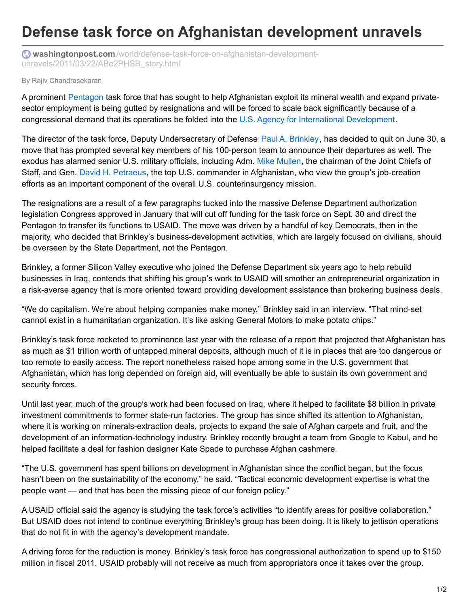## **Defense task force on Afghanistan development unravels**

**washingtonpost.com** [/world/defense-task-force-on-afghanistan-development](https://www.washingtonpost.com/world/defense-task-force-on-afghanistan-development-unravels/2011/03/22/ABe2PHSB_story.html?utm_term=.8c73a896bb0a)unravels/2011/03/22/ABe2PHSB\_story.html

## By Rajiv Chandrasekaran

A prominent [Pentagon](http://www.whorunsgov.com/institutions/defense) task force that has sought to help Afghanistan exploit its mineral wealth and expand privatesector employment is being gutted by resignations and will be forced to scale back significantly because of a congressional demand that its operations be folded into the U.S. Agency for International [Development](http://www.whorunsgov.com/Institutions/State/Offices/Secretary_of_State/US_AID).

The director of the task force, Deputy Undersecretary of Defense Paul A. [Brinkley](http://www.whorunsgov.com/Profiles/Paul_A._Brinkley), has decided to quit on June 30, a move that has prompted several key members of his 100-person team to announce their departures as well. The exodus has alarmed senior U.S. military officials, including Adm. Mike [Mullen](http://www.whorunsgov.com/Profiles/Adm._Michael_Mullen), the chairman of the Joint Chiefs of Staff, and Gen. David H. [Petraeus](http://www.whorunsgov.com/Profiles/Gen._David_Petraeus), the top U.S. commander in Afghanistan, who view the group's job-creation efforts as an important component of the overall U.S. counterinsurgency mission.

The resignations are a result of a few paragraphs tucked into the massive Defense Department authorization legislation Congress approved in January that will cut off funding for the task force on Sept. 30 and direct the Pentagon to transfer its functions to USAID. The move was driven by a handful of key Democrats, then in the majority, who decided that Brinkley's business-development activities, which are largely focused on civilians, should be overseen by the State Department, not the Pentagon.

Brinkley, a former Silicon Valley executive who joined the Defense Department six years ago to help rebuild businesses in Iraq, contends that shifting his group's work to USAID will smother an entrepreneurial organization in a risk-averse agency that is more oriented toward providing development assistance than brokering business deals.

"We do capitalism. We're about helping companies make money," Brinkley said in an interview. "That mind-set cannot exist in a humanitarian organization. It's like asking General Motors to make potato chips."

Brinkley's task force rocketed to prominence last year with the release of a report that projected that Afghanistan has as much as \$1 trillion worth of untapped mineral deposits, although much of it is in places that are too dangerous or too remote to easily access. The report nonetheless raised hope among some in the U.S. government that Afghanistan, which has long depended on foreign aid, will eventually be able to sustain its own government and security forces.

Until last year, much of the group's work had been focused on Iraq, where it helped to facilitate \$8 billion in private investment commitments to former state-run factories. The group has since shifted its attention to Afghanistan, where it is working on minerals-extraction deals, projects to expand the sale of Afghan carpets and fruit, and the development of an information-technology industry. Brinkley recently brought a team from Google to Kabul, and he helped facilitate a deal for fashion designer Kate Spade to purchase Afghan cashmere.

"The U.S. government has spent billions on development in Afghanistan since the conflict began, but the focus hasn't been on the sustainability of the economy," he said. "Tactical economic development expertise is what the people want — and that has been the missing piece of our foreign policy."

A USAID official said the agency is studying the task force's activities "to identify areas for positive collaboration." But USAID does not intend to continue everything Brinkley's group has been doing. It is likely to jettison operations that do not fit in with the agency's development mandate.

A driving force for the reduction is money. Brinkley's task force has congressional authorization to spend up to \$150 million in fiscal 2011. USAID probably will not receive as much from appropriators once it takes over the group.